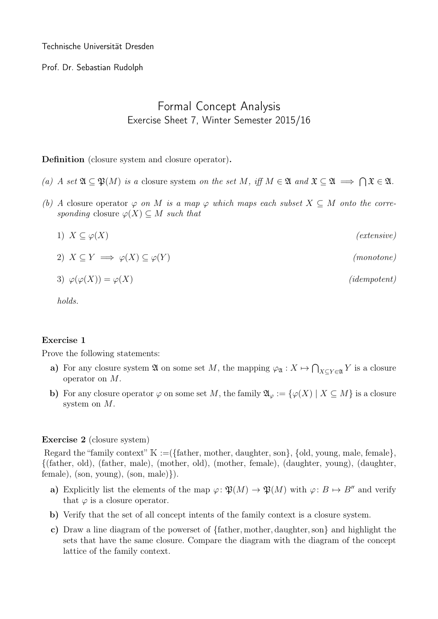Technische Universität Dresden

Prof. Dr. Sebastian Rudolph

## Formal Concept Analysis Exercise Sheet 7, Winter Semester 2015/16

Definition (closure system and closure operator).

- (a) A set  $\mathfrak{A} \subseteq \mathfrak{P}(M)$  is a closure system on the set M, iff  $M \in \mathfrak{A}$  and  $\mathfrak{X} \subseteq \mathfrak{A} \implies \bigcap \mathfrak{X} \in \mathfrak{A}$ .
- (b) A closure operator  $\varphi$  on M is a map  $\varphi$  which maps each subset  $X \subseteq M$  onto the corresponding closure  $\varphi(X) \subseteq M$  such that

$$
1) \ \ X \subseteq \varphi(X) \tag{extensive}
$$

2)  $X \subseteq Y \implies \varphi(X) \subseteq \varphi(Y)$  (monotone)

$$
3) \varphi(\varphi(X)) = \varphi(X) \qquad (idempotent)
$$

holds.

## Exercise 1

Prove the following statements:

- a) For any closure system  $\mathfrak A$  on some set M, the mapping  $\varphi_{\mathfrak A}: X \mapsto \bigcap_{X \subseteq Y \in \mathfrak A} Y$  is a closure operator on M.
- b) For any closure operator  $\varphi$  on some set M, the family  $\mathfrak{A}_{\varphi} := {\varphi(X) | X \subseteq M}$  is a closure system on M.

## Exercise 2 (closure system)

Regard the "family context"  $\mathbb{K} := (\{\text{father}, \text{mother}, \text{dayhter}, \text{son}\}, \{\text{old}, \text{young}, \text{male}, \text{female}\},\$ {(father, old), (father, male), (mother, old), (mother, female), (daughter, young), (daughter,  $female), (son, young), (son, male)\}.$ 

- a) Explicitly list the elements of the map  $\varphi \colon \mathfrak{P}(M) \to \mathfrak{P}(M)$  with  $\varphi \colon B \mapsto B''$  and verify that  $\varphi$  is a closure operator.
- b) Verify that the set of all concept intents of the family context is a closure system.
- c) Draw a line diagram of the powerset of {father, mother, daughter,son} and highlight the sets that have the same closure. Compare the diagram with the diagram of the concept lattice of the family context.